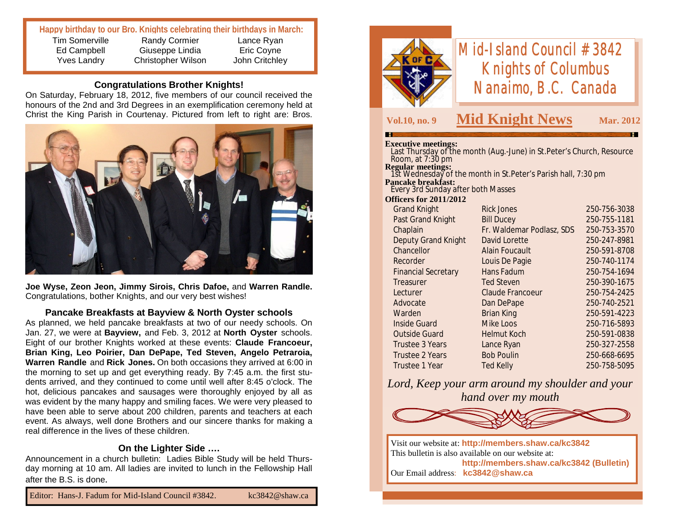### **Happy birthday to our Bro. Knights celebrating their birthdays in March:**

Lance Ryan Eric Coyne John Critchley

Tim Somerville Ed Campbell Yves Landry

Randy Cormier Giuseppe Lindia Christopher Wilson

## **Congratulations Brother Knights!**

On Saturday, February 18, 2012, five members of our council received the honours of the 2nd and 3rd Degrees in an exemplification ceremony held at Christ the King Parish in Courtenay. Pictured from left to right are: Bros.



**Joe Wyse, Zeon Jeon, Jimmy Sirois, Chris Dafoe,** and **Warren Randle.**  Congratulations, bother Knights, and our very best wishes!

#### **Pancake Breakfasts at Bayview & North Oyster schools**

As planned, we held pancake breakfasts at two of our needy schools. On Jan. 27, we were at **Bayview,** and Feb. 3, 2012 at **North Oyster** schools. Eight of our brother Knights worked at these events: **Claude Francoeur, Brian King, Leo Poirier, Dan DePape, Ted Steven, Angelo Petraroia, Warren Randle** and **Rick Jones.** On both occasions they arrived at 6:00 in the morning to set up and get everything ready. By 7:45 a.m. the first students arrived, and they continued to come until well after 8:45 o'clock. The hot, delicious pancakes and sausages were thoroughly enjoyed by all as was evident by the many happy and smiling faces. We were very pleased to have been able to serve about 200 children, parents and teachers at each event. As always, well done Brothers and our sincere thanks for making a real difference in the lives of these children.

#### **On the Lighter Side ….**

Announcement in a church bulletin: Ladies Bible Study will be held Thursday morning at 10 am. All ladies are invited to lunch in the Fellowship Hall after the B.S. is done.



# *Mid-Island Council #3842 Knights of Columbus Nanaimo, B.C. Canada*

## **Vol.10, no. 9 Mid Knight News Mar. 2012**

#### **Executive meetings:**

| execuuve meeungs:                                                                           |                           |              |  |  |
|---------------------------------------------------------------------------------------------|---------------------------|--------------|--|--|
| Last Thursday of the month (Aug.-June) in St. Peter's Church, Resource                      |                           |              |  |  |
| Room, at $7:30$ pm                                                                          |                           |              |  |  |
| <b>Regular meetings:</b><br>- 1st Wednesday of the month in St.Peter's Parish hall, 7:30 pm |                           |              |  |  |
| <b>Pancake breakfast:</b>                                                                   |                           |              |  |  |
| Every 3rd Sunday after both Masses                                                          |                           |              |  |  |
| <b>Officers for 2011/2012</b>                                                               |                           |              |  |  |
| <b>Grand Knight</b>                                                                         | <b>Rick Jones</b>         | 250-756-3038 |  |  |
| Past Grand Knight                                                                           | <b>Bill Ducey</b>         | 250-755-1181 |  |  |
| Chaplain                                                                                    | Fr. Waldemar Podlasz, SDS | 250-753-3570 |  |  |
| <b>Deputy Grand Knight</b>                                                                  | David Lorette             | 250-247-8981 |  |  |
| Chancellor                                                                                  | <b>Alain Foucault</b>     | 250-591-8708 |  |  |
| Recorder                                                                                    | Louis De Pagie            | 250-740-1174 |  |  |
| <b>Financial Secretary</b>                                                                  | Hans Fadum                | 250-754-1694 |  |  |
| Treasurer                                                                                   | <b>Ted Steven</b>         | 250-390-1675 |  |  |
| Lecturer                                                                                    | <b>Claude Francoeur</b>   | 250-754-2425 |  |  |
| Advocate                                                                                    | Dan DePape                | 250-740-2521 |  |  |
| Warden                                                                                      | <b>Brian King</b>         | 250-591-4223 |  |  |
| <b>Inside Guard</b>                                                                         | <b>Mike Loos</b>          | 250-716-5893 |  |  |
| <b>Outside Guard</b>                                                                        | <b>Helmut Koch</b>        | 250-591-0838 |  |  |
| <b>Trustee 3 Years</b>                                                                      | Lance Ryan                | 250-327-2558 |  |  |
| <b>Trustee 2 Years</b>                                                                      | <b>Bob Poulin</b>         | 250-668-6695 |  |  |
| <b>Trustee 1 Year</b>                                                                       | <b>Ted Kelly</b>          | 250-758-5095 |  |  |
|                                                                                             |                           |              |  |  |

*Lord, Keep your arm around my shoulder and your hand over my mouth*